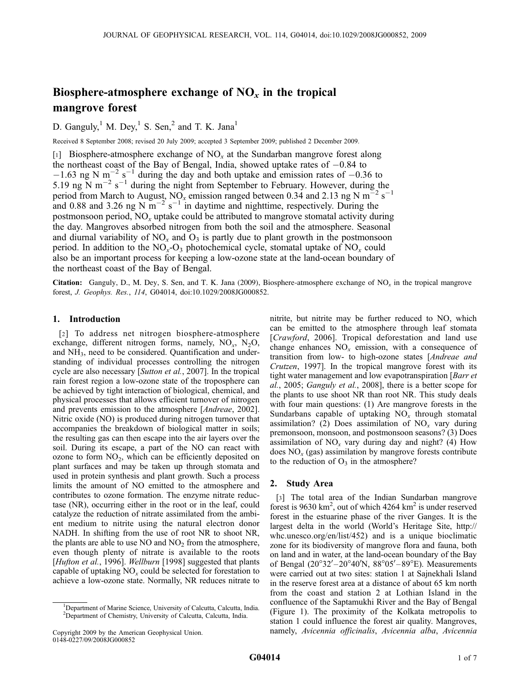# Biosphere-atmosphere exchange of  $NO<sub>x</sub>$  in the tropical mangrove forest

D. Ganguly,<sup>1</sup> M. Dey,<sup>1</sup> S. Sen,<sup>2</sup> and T. K. Jana<sup>1</sup>

Received 8 September 2008; revised 20 July 2009; accepted 3 September 2009; published 2 December 2009.

[1] Biosphere-atmosphere exchange of NO*<sup>x</sup>* at the Sundarban mangrove forest along the northeast coast of the Bay of Bengal, India, showed uptake rates of  $-0.84$  to  $-1.63$  ng N m<sup>-2</sup> s<sup>-1</sup> during the day and both uptake and emission rates of -0.36 to 5.19 ng  $\overline{N}$  m<sup>-2</sup> s<sup>-1</sup> during the night from September to February. However, during the period from March to August, NO<sub>x</sub> emission ranged between 0.34 and 2.13 ng N m<sup>-2</sup> s<sup>-1</sup> and 0.88 and 3.26 ng N  $\text{m}^{-2}$  s<sup>-1</sup> in daytime and nighttime, respectively. During the postmonsoon period, NO*<sup>x</sup>* uptake could be attributed to mangrove stomatal activity during the day. Mangroves absorbed nitrogen from both the soil and the atmosphere. Seasonal and diurnal variability of  $NO_x$  and  $O_3$  is partly due to plant growth in the postmonsoon period. In addition to the NO*<sup>x</sup>* -O<sup>3</sup> photochemical cycle, stomatal uptake of NO*<sup>x</sup>* could also be an important process for keeping a low-ozone state at the land-ocean boundary of the northeast coast of the Bay of Bengal.

Citation: Ganguly, D., M. Dey, S. Sen, and T. K. Jana (2009), Biosphere-atmosphere exchange of NO*<sup>x</sup>* in the tropical mangrove forest, *J. Geophys. Res.*, *114*, G04014, doi:10.1029/2008JG000852.

## 1. Introduction

[2] To address net nitrogen biosphere-atmosphere exchange, different nitrogen forms, namely, NO<sub>x</sub>, N<sub>2</sub>O, and  $NH<sub>3</sub>$ , need to be considered. Quantification and understanding of individual processes controlling the nitrogen cycle are also necessary [*Sutton et al.*, 2007]. In the tropical rain forest region a low-ozone state of the troposphere can be achieved by tight interaction of biological, chemical, and physical processes that allows efficient turnover of nitrogen and prevents emission to the atmosphere [*Andreae*, 2002]. Nitric oxide (NO) is produced during nitrogen turnover that accompanies the breakdown of biological matter in soils; the resulting gas can then escape into the air layers over the soil. During its escape, a part of the NO can react with ozone to form  $NO<sub>2</sub>$ , which can be efficiently deposited on plant surfaces and may be taken up through stomata and used in protein synthesis and plant growth. Such a process limits the amount of NO emitted to the atmosphere and contributes to ozone formation. The enzyme nitrate reductase (NR), occurring either in the root or in the leaf, could catalyze the reduction of nitrate assimilated from the ambient medium to nitrite using the natural electron donor NADH. In shifting from the use of root NR to shoot NR, the plants are able to use  $NO$  and  $NO<sub>2</sub>$  from the atmosphere, even though plenty of nitrate is available to the roots [*Hufton et al.*, 1996]. *Wellburn* [1998] suggested that plants capable of uptaking  $NO<sub>x</sub>$  could be selected for forestation to achieve a low-ozone state. Normally, NR reduces nitrate to nitrite, but nitrite may be further reduced to NO, which can be emitted to the atmosphere through leaf stomata [*Crawford*, 2006]. Tropical deforestation and land use change enhances  $NO<sub>x</sub>$  emission, with a consequence of transition from low- to high-ozone states [*Andreae and Crutzen*, 1997]. In the tropical mangrove forest with its tight water management and low evapotranspiration [*Barr et al.*, 2005; *Ganguly et al.*, 2008], there is a better scope for the plants to use shoot NR than root NR. This study deals with four main questions: (1) Are mangrove forests in the Sundarbans capable of uptaking NO*<sup>x</sup>* through stomatal assimilation? (2) Does assimilation of  $NO<sub>x</sub>$  vary during premonsoon, monsoon, and postmonsoon seasons? (3) Does assimilation of  $NO<sub>x</sub>$  vary during day and night? (4) How does NO*<sup>x</sup>* (gas) assimilation by mangrove forests contribute to the reduction of  $O_3$  in the atmosphere?

# 2. Study Area

[3] The total area of the Indian Sundarban mangrove forest is 9630  $\text{km}^2$ , out of which 4264  $\text{km}^2$  is under reserved forest in the estuarine phase of the river Ganges. It is the largest delta in the world (World's Heritage Site, http:// whc.unesco.org/en/list/452) and is a unique bioclimatic zone for its biodiversity of mangrove flora and fauna, both on land and in water, at the land-ocean boundary of the Bay of Bengal (20°32'-20°40'N, 88°05'-89°E). Measurements were carried out at two sites: station 1 at Sajnekhali Island in the reserve forest area at a distance of about 65 km north from the coast and station 2 at Lothian Island in the confluence of the Saptamukhi River and the Bay of Bengal (Figure 1). The proximity of the Kolkata metropolis to station 1 could influence the forest air quality. Mangroves, namely, *Avicennia officinalis*, *Avicennia alba*, *Avicennia*

<sup>&</sup>lt;sup>1</sup>Department of Marine Science, University of Calcutta, Calcutta, India. <sup>2</sup>Department of Chemistry, University of Calcutta, Calcutta, India.

Copyright 2009 by the American Geophysical Union. 0148-0227/09/2008JG000852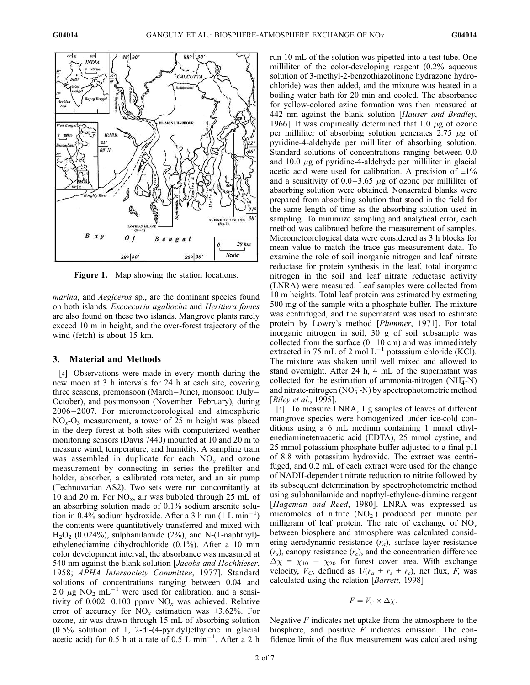

Figure 1. Map showing the station locations.

*marina*, and *Aegiceros* sp., are the dominant species found on both islands. *Excoecaria agallocha* and *Heritiera fomes* are also found on these two islands. Mangrove plants rarely exceed 10 m in height, and the over-forest trajectory of the wind (fetch) is about 15 km.

#### 3. Material and Methods

[4] Observations were made in every month during the new moon at 3 h intervals for 24 h at each site, covering three seasons, premonsoon (March – June), monsoon (July – October), and postmonsoon (November –February), during 2006 – 2007. For micrometeorological and atmospheric NO*<sup>x</sup>* -O<sup>3</sup> measurement, a tower of 25 m height was placed in the deep forest at both sites with computerized weather monitoring sensors (Davis 7440) mounted at 10 and 20 m to measure wind, temperature, and humidity. A sampling train was assembled in duplicate for each NO*<sup>x</sup>* and ozone measurement by connecting in series the prefilter and holder, absorber, a calibrated rotameter, and an air pump (Technovarian AS2). Two sets were run concomitantly at 10 and 20 m. For  $NO_x$ , air was bubbled through 25 mL of an absorbing solution made of 0.1% sodium arsenite solution in 0.4% sodium hydroxide. After a 3 h run  $(1 L min^{-1})$ the contents were quantitatively transferred and mixed with  $H<sub>2</sub>O<sub>2</sub>$  (0.024%), sulphanilamide (2%), and N-(1-naphthyl)ethylenediamine dihydrochloride (0.1%). After a 10 min color development interval, the absorbance was measured at 540 nm against the blank solution [*Jacobs and Hochhieser*, 1958; *APHA Intersociety Committee*, 1977]. Standard solutions of concentrations ranging between 0.04 and 2.0  $\mu$ g NO<sub>2</sub> mL<sup>-1</sup> were used for calibration, and a sensitivity of  $0.002-0.100$  ppmv NO<sub>x</sub> was achieved. Relative error of accuracy for  $\overline{NO_x}$  estimation was  $\pm 3.62\%$ . For ozone, air was drawn through 15 mL of absorbing solution (0.5% solution of 1, 2-di-(4-pyridyl)ethylene in glacial acetic acid) for 0.5 h at a rate of  $0.5 \text{ L min}^{-1}$ . After a 2 h

run 10 mL of the solution was pipetted into a test tube. One milliliter of the color-developing reagent (0.2% aqueous solution of 3-methyl-2-benzothiazolinone hydrazone hydrochloride) was then added, and the mixture was heated in a boiling water bath for 20 min and cooled. The absorbance for yellow-colored azine formation was then measured at 442 nm against the blank solution [*Hauser and Bradley*, 1966]. It was empirically determined that 1.0  $\mu$ g of ozone per milliliter of absorbing solution generates 2.75  $\mu$ g of pyridine-4-aldehyde per milliliter of absorbing solution. Standard solutions of concentrations ranging between 0.0 and 10.0  $\mu$ g of pyridine-4-aldehyde per milliliter in glacial acetic acid were used for calibration. A precision of  $\pm 1\%$ and a sensitivity of  $0.0-3.65 \mu g$  of ozone per milliliter of absorbing solution were obtained. Nonaerated blanks were prepared from absorbing solution that stood in the field for the same length of time as the absorbing solution used in sampling. To minimize sampling and analytical error, each method was calibrated before the measurement of samples. Micrometeorological data were considered as 3 h blocks for mean value to match the trace gas measurement data. To examine the role of soil inorganic nitrogen and leaf nitrate reductase for protein synthesis in the leaf, total inorganic nitrogen in the soil and leaf nitrate reductase activity (LNRA) were measured. Leaf samples were collected from 10 m heights. Total leaf protein was estimated by extracting 500 mg of the sample with a phosphate buffer. The mixture was centrifuged, and the supernatant was used to estimate protein by Lowry's method [*Plummer*, 1971]. For total inorganic nitrogen in soil, 30 g of soil subsample was collected from the surface  $(0-10 \text{ cm})$  and was immediately extracted in 75 mL of 2 mol  $L^{-1}$  potassium chloride (KCl). The mixture was shaken until well mixed and allowed to stand overnight. After 24 h, 4 mL of the supernatant was collected for the estimation of ammonia-nitrogen  $(NH_4^+N)$ and nitrate-nitrogen  $(NO_3^- - N)$  by spectrophotometric method [*Riley et al.*, 1995].

[5] To measure LNRA, 1 g samples of leaves of different mangrove species were homogenized under ice-cold conditions using a 6 mL medium containing 1 mmol ethylenediaminetetraacetic acid (EDTA), 25 mmol cystine, and 25 mmol potassium phosphate buffer adjusted to a final pH of 8.8 with potassium hydroxide. The extract was centrifuged, and 0.2 mL of each extract were used for the change of NADH-dependent nitrate reduction to nitrite followed by its subsequent determination by spectrophotometric method using sulphanilamide and napthyl-ethylene-diamine reagent [*Hageman and Reed*, 1980]. LNRA was expressed as micromoles of nitrite  $(NO<sub>2</sub><sup>-</sup>)$  produced per minute per milligram of leaf protein. The rate of exchange of NO*<sup>x</sup>* between biosphere and atmosphere was calculated considering aerodynamic resistance (*ra*), surface layer resistance  $(r<sub>s</sub>)$ , canopy resistance  $(r<sub>c</sub>)$ , and the concentration difference  $\Delta \chi = \chi_{10} - \chi_{20}$  for forest cover area. With exchange velocity,  $V_C$ , defined as  $1/(r_a + r_s + r_c)$ , net flux, F, was calculated using the relation [*Barrett*, 1998]

$$
F = V_C \times \Delta \chi.
$$

Negative *F* indicates net uptake from the atmosphere to the biosphere, and positive *F* indicates emission. The confidence limit of the flux measurement was calculated using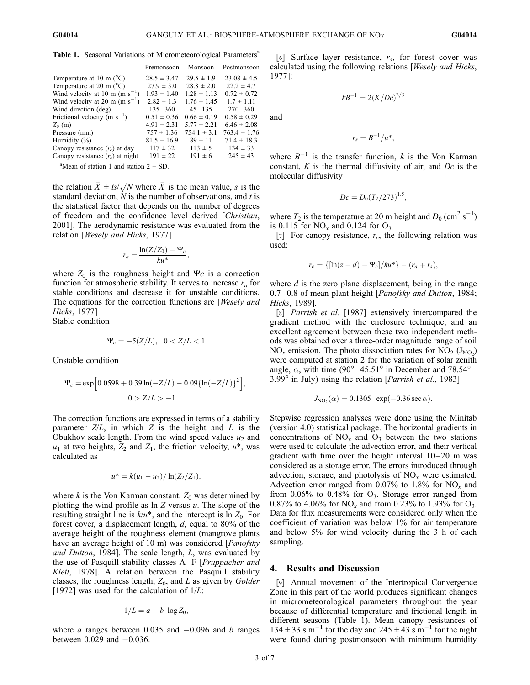Table 1. Seasonal Variations of Micrometeorological Parameters<sup>a</sup>

|                                     | Premonsoon      | Monsoon         | Postmonsoon      |
|-------------------------------------|-----------------|-----------------|------------------|
| Temperature at 10 m $(^{\circ}C)$   | $28.5 \pm 3.47$ | $29.5 \pm 1.9$  | $23.08 \pm 4.5$  |
| Temperature at 20 m $(^{\circ}C)$   | $27.9 \pm 3.0$  | $28.8 \pm 2.0$  | $22.2 \pm 4.7$   |
| Wind velocity at 10 m (m $s^{-1}$ ) | $1.93 \pm 1.40$ | $1.28 \pm 1.13$ | $0.72 \pm 0.72$  |
| Wind velocity at 20 m (m $s^{-1}$ ) | $2.82 \pm 1.3$  | $1.76 \pm 1.45$ | $1.7 \pm 1.11$   |
| Wind direction (deg)                | $135 - 360$     | $45 - 135$      | $270 - 360$      |
| Frictional velocity (m $s^{-1}$ )   | $0.51 \pm 0.36$ | $0.66 \pm 0.19$ | $0.58 \pm 0.29$  |
| $Z_0$ (m)                           | $4.91 \pm 2.31$ | $5.77 \pm 2.21$ | $6.46 \pm 2.08$  |
| Pressure (mm)                       | $757 \pm 1.36$  | $754.1 \pm 3.1$ | $763.4 \pm 1.76$ |
| Humidity $(\%)$                     | $81.5 \pm 16.9$ | $89 \pm 11$     | $71.4 \pm 18.3$  |
| Canopy resistance $(r_c)$ at day    | $117 \pm 32$    | $113 \pm 5$     | $134 \pm 33$     |
| Canopy resistance $(r_c)$ at night  | $191 \pm 22$    | $191 \pm 6$     | $245 \pm 43$     |

<sup>a</sup>Mean of station 1 and station  $2 \pm SD$ .

the relation  $\bar{X} \pm ts/\sqrt{N}$  where  $\bar{X}$  is the mean value, *s* is the standard deviation, *N* is the number of observations, and *t* is the statistical factor that depends on the number of degrees of freedom and the confidence level derived [*Christian*, 2001]. The aerodynamic resistance was evaluated from the relation [*Wesely and Hicks*, 1977]

$$
r_a = \frac{\ln(Z/Z_0) - \Psi_c}{ku^*}
$$

;

where  $Z_0$  is the roughness height and  $\Psi_c$  is a correction function for atmospheric stability. It serves to increase *r<sup>a</sup>* for stable conditions and decrease it for unstable conditions. The equations for the correction functions are [*Wesely and Hicks*, 1977]

Stable condition

$$
\Psi_c = -5(Z/L), \ \ 0 < Z/L < 1
$$

Unstable condition

$$
\Psi_c = \exp\left[0.0598 + 0.39 \ln(-Z/L) - 0.09\{\ln(-Z/L)\}^2\right],
$$
  
0 > Z/L > -1.

The correction functions are expressed in terms of a stability parameter *Z*/*L*, in which *Z* is the height and *L* is the Obukhov scale length. From the wind speed values  $u_2$  and  $u_1$  at two heights,  $Z_2$  and  $Z_1$ , the friction velocity,  $u^*$ , was calculated as

$$
u^* = k(u_1 - u_2) / \ln(Z_2/Z_1),
$$

where  $k$  is the Von Karman constant.  $Z_0$  was determined by plotting the wind profile as ln *Z* versus *u*. The slope of the resulting straight line is  $k/u^*$ , and the intercept is  $\overline{\ln Z_0}$ . For forest cover, a displacement length, *d*, equal to 80% of the average height of the roughness element (mangrove plants have an average height of 10 m) was considered [*Panofsky and Dutton*, 1984]. The scale length, *L*, was evaluated by the use of Pasquill stability classes A–F [*Pruppacher and Klett*, 1978]. A relation between the Pasquill stability classes, the roughness length, *Z*0, and *L* as given by *Golder* [1972] was used for the calculation of 1/*L*:

$$
1/L = a + b \log Z_0,
$$

where *a* ranges between  $0.035$  and  $-0.096$  and *b* ranges between  $0.029$  and  $-0.036$ .

[6] Surface layer resistance, *r<sup>s</sup>* , for forest cover was calculated using the following relations [*Wesely and Hicks*, 1977]:

 $kB^{-1} = 2(K/De)^{2/3}$ 

$$
f_{\rm{max}}
$$

and

$$
r_s=B^{-1}/u^*,
$$

where  $B^{-1}$  is the transfer function, *k* is the Von Karman constant, *K* is the thermal diffusivity of air, and *Dc* is the molecular diffusivity

$$
Dc = D_0 (T_2/273)^{1.5},
$$

where  $T_2$  is the temperature at 20 m height and  $D_0$  (cm<sup>2</sup> s<sup>-1</sup>) is 0.115 for  $NO_x$  and 0.124 for  $O_3$ .

[7] For canopy resistance,  $r_c$ , the following relation was used:

$$
r_c = \{[\ln(z - d) - \Psi_c]/ku^*\} - (r_a + r_s),
$$

where *d* is the zero plane displacement, being in the range 0.7– 0.8 of mean plant height [*Panofsky and Dutton*, 1984; *Hicks*, 1989].

[8] *Parrish et al.* [1987] extensively intercompared the gradient method with the enclosure technique, and an excellent agreement between these two independent methods was obtained over a three-order magnitude range of soil  $NO_x$  emission. The photo dissociation rates for  $NO_2 (J_{NO_2})$ were computed at station 2 for the variation of solar zenith angle,  $\alpha$ , with time (90°–45.51° in December and 78.54°–  $3.99^\circ$  in July) using the relation [*Parrish et al.*, 1983]

$$
J_{NO_2}(\alpha) = 0.1305 \exp(-0.36 \sec \alpha).
$$

Stepwise regression analyses were done using the Minitab (version 4.0) statistical package. The horizontal gradients in concentrations of  $NO_x$  and  $O_3$  between the two stations were used to calculate the advection error, and their vertical gradient with time over the height interval  $10-20$  m was considered as a storage error. The errors introduced through advection, storage, and photolysis of NO*<sup>x</sup>* were estimated. Advection error ranged from 0.07% to 1.8% for NO*<sup>x</sup>* and from  $0.06\%$  to  $0.48\%$  for  $O_3$ . Storage error ranged from 0.87% to 4.06% for  $NO_x$  and from 0.23% to 1.93% for  $O_3$ . Data for flux measurements were considered only when the coefficient of variation was below 1% for air temperature and below 5% for wind velocity during the 3 h of each sampling.

#### 4. Results and Discussion

[9] Annual movement of the Intertropical Convergence Zone in this part of the world produces significant changes in micrometeorological parameters throughout the year because of differential temperature and frictional length in different seasons (Table 1). Mean canopy resistances of  $134 \pm 33$  s m<sup>-1</sup> for the day and  $245 \pm 43$  s m<sup>-1</sup> for the night were found during postmonsoon with minimum humidity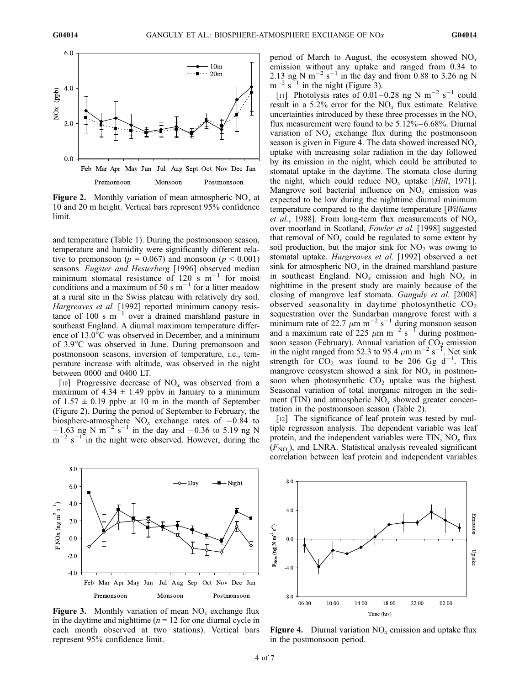

Figure 2. Monthly variation of mean atmospheric NO*<sup>x</sup>* at 10 and 20 m height. Vertical bars represent 95% confidence limit.

and temperature (Table 1). During the postmonsoon season, temperature and humidity were significantly different relative to premonsoon ( $p = 0.067$ ) and monsoon ( $p < 0.001$ ) seasons. *Eugster and Hesterberg* [1996] observed median minimum stomatal resistance of 120 s  $m^{-1}$  for moist conditions and a maximum of 50 s  $m^{-1}$  for a litter meadow at a rural site in the Swiss plateau with relatively dry soil. *Hargreaves et al.* [1992] reported minimum canopy resistance of 100 s  $m^{-1}$  over a drained marshland pasture in southeast England. A diurnal maximum temperature difference of  $13.0^{\circ}$ C was observed in December, and a minimum of 3.9°C was observed in June. During premonsoon and postmonsoon seasons, inversion of temperature, i.e., temperature increase with altitude, was observed in the night between 0000 and 0400 LT.

[10] Progressive decrease of  $NO<sub>x</sub>$  was observed from a maximum of  $4.34 \pm 1.49$  ppby in January to a minimum of  $1.57 \pm 0.19$  ppby at 10 m in the month of September (Figure 2). During the period of September to February, the biosphere-atmosphere  $NO_x$  exchange rates of  $-0.84$  to  $-1.63$  ng N m<sup>-2</sup> s<sup>-1</sup> in the day and -0.36 to 5.19 ng N  $m^{-2}$  s<sup>-1</sup> in the night were observed. However, during the

period of March to August, the ecosystem showed NO*<sup>x</sup>* emission without any uptake and ranged from 0.34 to 2.13 ng N m<sup>-2</sup> s<sup>-1</sup> in the day and from 0.88 to 3.26 ng N  $m^{-2}$  s<sup>-1</sup> in the night (Figure 3).

[11] Photolysis rates of  $0.01-0.28$  ng N m<sup>-2</sup> s<sup>-1</sup> could result in a 5.2% error for the  $NO_x$  flux estimate. Relative uncertainties introduced by these three processes in the NO*<sup>x</sup>* flux measurement were found to be 5.12% – 6.68%. Diurnal variation of  $NO<sub>x</sub>$  exchange flux during the postmonsoon season is given in Figure 4. The data showed increased NO*<sup>x</sup>* uptake with increasing solar radiation in the day followed by its emission in the night, which could be attributed to stomatal uptake in the daytime. The stomata close during the night, which could reduce  $NO_x$  uptake [*Hill*, 1971]. Mangrove soil bacterial influence on  $NO<sub>x</sub>$  emission was expected to be low during the nighttime diurnal minimum temperature compared to the daytime temperature [*Williams et al.*, 1988]. From long-term flux measurements of NO*<sup>x</sup>* over moorland in Scotland, *Fowler et al.* [1998] suggested that removal of  $NO_x$  could be regulated to some extent by soil production, but the major sink for  $NO<sub>2</sub>$  was owing to stomatal uptake. *Hargreaves et al.* [1992] observed a net sink for atmospheric  $NO_x$  in the drained marshland pasture in southeast England.  $NO_x$  emission and high  $NO_x$  in nighttime in the present study are mainly because of the closing of mangrove leaf stomata. *Ganguly et al.* [2008] observed seasonality in daytime photosynthetic  $CO<sub>2</sub>$ sequestration over the Sundarban mangrove forest with a minimum rate of 22.7  $\mu$ m m<sup>-2</sup> s<sup>-1</sup> during monsoon season and a maximum rate of 225  $\mu$ m m<sup>-2</sup> s<sup>-1</sup> during postmonsoon season (February). Annual variation of  $CO<sub>2</sub>$  emission in the night ranged from 52.3 to 95.4  $\mu$ m m<sup>-2</sup> s<sup>-1</sup>. Net sink strength for  $CO_2$  was found to be 206 Gg d<sup>-1</sup>. This mangrove ecosystem showed a sink for NO*<sup>x</sup>* in postmonsoon when photosynthetic  $CO<sub>2</sub>$  uptake was the highest. Seasonal variation of total inorganic nitrogen in the sediment (TIN) and atmospheric NO*<sup>x</sup>* showed greater concentration in the postmonsoon season (Table 2).

[12] The significance of leaf protein was tested by multiple regression analysis. The dependent variable was leaf protein, and the independent variables were TIN, NO*<sup>x</sup>* flux  $(F_{\text{NO}_x})$ , and LNRA. Statistical analysis revealed significant correlation between leaf protein and independent variables



**Figure 3.** Monthly variation of mean  $NO<sub>x</sub>$  exchange flux in the daytime and nighttime  $(n = 12$  for one diurnal cycle in each month observed at two stations). Vertical bars represent 95% confidence limit.



Figure 4. Diurnal variation NO*<sup>x</sup>* emission and uptake flux in the postmonsoon period.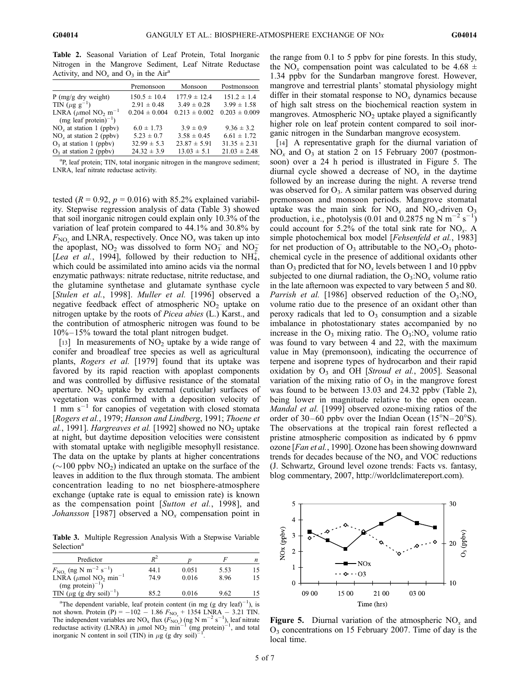Table 2. Seasonal Variation of Leaf Protein, Total Inorganic Nitrogen in the Mangrove Sediment, Leaf Nitrate Reductase Activity, and  $NO_x$  and  $O_3$  in the Air<sup>a</sup>

|                                                  | Premonsoon        | Monsoon           | Postmonsoon       |
|--------------------------------------------------|-------------------|-------------------|-------------------|
| P (mg/g dry weight)                              | $150.5 \pm 10.4$  | $177.9 \pm 12.4$  | $151.2 \pm 1.4$   |
| TIN $(\mu g g^{-1})$                             | $2.91 \pm 0.48$   | $3.49 \pm 0.28$   | $3.99 \pm 1.58$   |
| LNRA ( $\mu$ mol NO <sub>2</sub> m <sup>-1</sup> | $0.204 \pm 0.004$ | $0.213 \pm 0.002$ | $0.203 \pm 0.009$ |
| $(mg$ leaf protein) <sup>-1</sup> )              |                   |                   |                   |
| $NOr$ at station 1 (ppbv)                        | $6.0 \pm 1.73$    | $3.9 \pm 0.9$     | $9.36 \pm 3.2$    |
| $NOr$ at station 2 (ppbv)                        | $5.23 \pm 0.7$    | $3.58 \pm 0.45$   | $6.61 \pm 1.72$   |
| $O_3$ at station 1 (ppbv)                        | $32.99 \pm 5.3$   | $23.87 \pm 5.91$  | $31.35 \pm 2.31$  |
| $O3$ at station 2 (ppbv)                         | $24.32 \pm 3.9$   | $13.03 \pm 5.1$   | $21.03 \pm 2.48$  |

<sup>a</sup>P, leaf protein; TIN, total inorganic nitrogen in the mangrove sediment; LNRA, leaf nitrate reductase activity.

tested  $(R = 0.92, p = 0.016)$  with 85.2% explained variability. Stepwise regression analysis of data (Table 3) showed that soil inorganic nitrogen could explain only 10.3% of the variation of leaf protein compared to 44.1% and 30.8% by  $F_{\text{NO}_x}$  and LNRA, respectively. Once  $\text{NO}_x$  was taken up into the apoplast,  $NO_2$  was dissolved to form  $NO_3^-$  and  $NO_2^-$ [Lea et al., 1994], followed by their reduction to NH<sub>4</sub>, which could be assimilated into amino acids via the normal enzymatic pathways: nitrate reductase, nitrite reductase, and the glutamine synthetase and glutamate synthase cycle [*Stulen et al.*, 1998]. *Muller et al.* [1996] observed a negative feedback effect of atmospheric  $NO<sub>2</sub>$  uptake on nitrogen uptake by the roots of *Picea abies* (L.) Karst., and the contribution of atmospheric nitrogen was found to be  $10\% - 15\%$  toward the total plant nitrogen budget.

[13] In measurements of  $NO<sub>2</sub>$  uptake by a wide range of conifer and broadleaf tree species as well as agricultural plants, *Rogers et al.* [1979] found that its uptake was favored by its rapid reaction with apoplast components and was controlled by diffusive resistance of the stomatal aperture.  $NO<sub>2</sub>$  uptake by external (cuticular) surfaces of vegetation was confirmed with a deposition velocity of 1 mm s<sup>-1</sup> for canopies of vegetation with closed stomata [*Rogers et al.*, 1979; *Hanson and Lindberg*, 1991; *Thoene et*  $al.$ , 1991]. *Hargreaves et al.* [1992] showed no  $NO<sub>2</sub>$  uptake at night, but daytime deposition velocities were consistent with stomatal uptake with negligible mesophyll resistance. The data on the uptake by plants at higher concentrations  $(\sim 100 \text{ ppbv NO}_2)$  indicated an uptake on the surface of the leaves in addition to the flux through stomata. The ambient concentration leading to no net biosphere-atmosphere exchange (uptake rate is equal to emission rate) is known as the compensation point [*Sutton et al.*, 1998], and *Johansson* [1987] observed a  $NO<sub>x</sub>$  compensation point in

Table 3. Multiple Regression Analysis With a Stepwise Variable Selection<sup>a</sup>

| Predictor                                                 | $R^2$ |       |      |    |
|-----------------------------------------------------------|-------|-------|------|----|
|                                                           |       |       |      | n  |
| $F_{\text{NO}_x}$ (ng N m <sup>-2</sup> s <sup>-1</sup> ) | 44.1  | 0.051 | 5.53 | 15 |
| LNRA ( $\mu$ mol NO <sub>2</sub> min <sup>-1</sup>        | 749   | 0.016 | 8.96 | 15 |
| $(mg protein)^{-1}$ )                                     |       |       |      |    |
| TIN ( $\mu$ g (g dry soil) <sup>-1</sup> )                | 852   | 0.016 | 9.62 | 15 |

<sup>a</sup>The dependent variable, leaf protein content (in mg (g dry leaf)<sup>-1</sup>), is not shown. Protein (P) =  $-102 - 1.86 F_{NO_x} + 1354 LNRA - 3.21 TIN$ . The independent variables are NO<sub>x</sub> flux  $(F_{NO_x})$  (ng N m<sup>-2</sup> s<sup>-1</sup>), leaf nitrate reductase activity (LNRA) in  $\mu$ mol NO<sub>2</sub> min<sup>-1</sup> (mg protein)<sup>-1</sup>, and total inorganic N content in soil (TIN) in  $\mu$ g (g dry soil)<sup>-1</sup>. inorganic N content in soil (TIN) in  $\mu$ g (g dry soil)<sup>-</sup>

the range from 0.1 to 5 ppbv for pine forests. In this study, the NO<sub>x</sub> compensation point was calculated to be 4.68  $\pm$ 1.34 ppbv for the Sundarban mangrove forest. However, mangrove and terrestrial plants' stomatal physiology might differ in their stomatal response to  $NO<sub>x</sub>$  dynamics because of high salt stress on the biochemical reaction system in mangroves. Atmospheric  $NO<sub>2</sub>$  uptake played a significantly higher role on leaf protein content compared to soil inorganic nitrogen in the Sundarban mangrove ecosystem.

[14] A representative graph for the diurnal variation of  $NO<sub>x</sub>$  and  $O<sub>3</sub>$  at station 2 on 15 February 2007 (postmonsoon) over a 24 h period is illustrated in Figure 5. The diurnal cycle showed a decrease of NO*<sup>x</sup>* in the daytime followed by an increase during the night. A reverse trend was observed for  $O_3$ . A similar pattern was observed during premonsoon and monsoon periods. Mangrove stomatal uptake was the main sink for  $NO_x$  and  $NO_x$ -driven  $O_3$ production, i.e., photolysis (0.01 and  $\overline{0.2875}$  ng  $\overline{N}$  m<sup>-2</sup> s<sup>-1</sup>) could account for 5.2% of the total sink rate for NO*<sup>x</sup>* . A simple photochemical box model [*Fehsenfeld et al.*, 1983] for net production of  $O_3$  attributable to the  $NO_x-O_3$  photochemical cycle in the presence of additional oxidants other than  $O_3$  predicted that for  $NO_x$  levels between 1 and 10 ppbv subjected to one diurnal radiation, the  $O_3:NO_r$  volume ratio in the late afternoon was expected to vary between 5 and 80. *Parrish et al.* [1986] observed reduction of the  $O_3:NO_x$ volume ratio due to the presence of an oxidant other than peroxy radicals that led to  $O_3$  consumption and a sizable imbalance in photostationary states accompanied by no increase in the  $O_3$  mixing ratio. The  $O_3$ :NO<sub>x</sub> volume ratio was found to vary between 4 and 22, with the maximum value in May (premonsoon), indicating the occurrence of terpene and isoprene types of hydrocarbon and their rapid oxidation by O<sub>3</sub> and OH [*Stroud et al.*, 2005]. Seasonal variation of the mixing ratio of  $O_3$  in the mangrove forest was found to be between 13.03 and 24.32 ppbv (Table 2), being lower in magnitude relative to the open ocean. *Mandal et al.* [1999] observed ozone-mixing ratios of the order of 30–60 ppbv over the Indian Ocean  $(15^{\circ}N-20^{\circ}S)$ . The observations at the tropical rain forest reflected a pristine atmospheric composition as indicated by 6 ppmv ozone [*Fan et al.*, 1990]. Ozone has been showing downward trends for decades because of the  $NO<sub>x</sub>$  and  $VOC$  reductions (J. Schwartz, Ground level ozone trends: Facts vs. fantasy, blog commentary, 2007, http://worldclimatereport.com).



Figure 5. Diurnal variation of the atmospheric  $NO<sub>x</sub>$  and  $O_3$  concentrations on 15 February 2007. Time of day is the local time.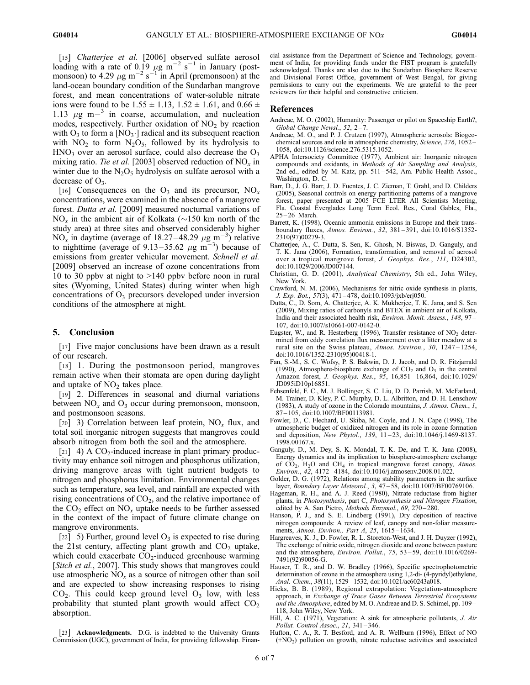[15] *Chatterjee et al.* [2006] observed sulfate aerosol loading with a rate of 0.19  $\mu$ g m<sup>-2</sup> s<sup>-1</sup> in January (postmonsoon) to 4.29  $\mu$ g m<sup>-2</sup> s<sup>-1</sup> in April (premonsoon) at the land-ocean boundary condition of the Sundarban mangrove forest, and mean concentrations of water-soluble nitrate ions were found to be  $1.55 \pm 1.13$ ,  $1.52 \pm 1.61$ , and  $0.66 \pm 1.61$ 1.13  $\mu$ g m $^{-3}$  in coarse, accumulation, and nucleation modes, respectively. Further oxidation of  $NO<sub>2</sub>$  by reaction with  $O_3$  to form a [NO<sub>3</sub>.] radical and its subsequent reaction with  $NO<sub>2</sub>$  to form  $N<sub>2</sub>O<sub>5</sub>$ , followed by its hydrolysis to  $HNO<sub>3</sub>$  over an aerosol surface, could also decrease the  $O<sub>3</sub>$ mixing ratio. *Tie et al.* [2003] observed reduction of NO*<sup>x</sup>* in winter due to the  $N_2O_5$  hydrolysis on sulfate aerosol with a decrease of  $O_3$ .

[16] Consequences on the  $O_3$  and its precursor,  $NO_x$ concentrations, were examined in the absence of a mangrove forest. *Dutta et al.* [2009] measured nocturnal variations of  $NO_x$  in the ambient air of Kolkata ( $\sim$ 150 km north of the study area) at three sites and observed considerably higher NO<sub>x</sub> in daytime (average of 18.27–48.29  $\mu$ g m<sup>-3</sup>) relative to nighttime (average of 9.13–35.62  $\mu$ g m<sup>-3</sup>) because of emissions from greater vehicular movement. *Schnell et al.* [2009] observed an increase of ozone concentrations from 10 to 30 ppbv at night to >140 ppbv before noon in rural sites (Wyoming, United States) during winter when high concentrations of  $O_3$  precursors developed under inversion conditions of the atmosphere at night.

### 5. Conclusion

[17] Five major conclusions have been drawn as a result of our research.

[18] 1. During the postmonsoon period, mangroves remain active when their stomata are open during daylight and uptake of  $NO<sub>2</sub>$  takes place.

[19] 2. Differences in seasonal and diurnal variations between  $NO<sub>x</sub>$  and  $O<sub>3</sub>$  occur during premonsoon, monsoon, and postmonsoon seasons.

[20] 3) Correlation between leaf protein, NO*<sup>x</sup>* flux, and total soil inorganic nitrogen suggests that mangroves could absorb nitrogen from both the soil and the atmosphere.

[21] 4) A  $CO_2$ -induced increase in plant primary productivity may enhance soil nitrogen and phosphorus utilization, driving mangrove areas with tight nutrient budgets to nitrogen and phosphorus limitation. Environmental changes such as temperature, sea level, and rainfall are expected with rising concentrations of  $CO<sub>2</sub>$ , and the relative importance of the  $CO<sub>2</sub>$  effect on  $NO<sub>x</sub>$  uptake needs to be further assessed in the context of the impact of future climate change on mangrove environments.

[22] 5) Further, ground level  $O_3$  is expected to rise during the 21st century, affecting plant growth and  $CO<sub>2</sub>$  uptake, which could exacerbate  $CO<sub>2</sub>$ -induced greenhouse warming [*Sitch et al.*, 2007]. This study shows that mangroves could use atmospheric  $NO<sub>x</sub>$  as a source of nitrogen other than soil and are expected to show increasing responses to rising  $CO<sub>2</sub>$ . This could keep ground level  $O<sub>3</sub>$  low, with less probability that stunted plant growth would affect  $CO<sub>2</sub>$ absorption.

[23] **Acknowledgments.** D.G. is indebted to the University Grants Commission (UGC), government of India, for providing fellowship. Financial assistance from the Department of Science and Technology, government of India, for providing funds under the FIST program is gratefully acknowledged. Thanks are also due to the Sundarban Biosphere Reserve and Divisional Forest Office, government of West Bengal, for giving permissions to carry out the experiments. We are grateful to the peer reviewers for their helpful and constructive criticism.

#### References

- Andreae, M. O. (2002), Humanity: Passenger or pilot on Spaceship Earth?, *Global Change Newsl.*, *52*, 2 – 7.
- Andreae, M. O., and P. J. Crutzen (1997), Atmospheric aerosols: Biogeochemical sources and role in atmospheric chemistry, *Science*, *276*, 1052 – 1058, doi:10.1126/science.276.5315.1052.
- APHA Intersociety Committee (1977), Ambient air: Inorganic nitrogen compounds and oxidants, in *Methods of Air Sampling and Analysis*, 2nd ed., edited by M. Katz, pp. 511-542, Am. Public Health Assoc., Washington, D. C.
- Barr, D., J. G. Barr, J. D. Fuentes, J. C. Zieman, T. Grahl, and D. Childers (2005), Seasonal controls on energy partitioning patterns of a mangrove forest, paper presented at 2005 FCE LTER All Scientists Meeting, Fla. Coastal Everglades Long Term Ecol. Res., Coral Gables, Fla., 25 – 26 March.
- Barrett, K. (1998), Oceanic ammonia emissions in Europe and their transboundary fluxes, *Atmos. Environ.*, *32*, 381 – 391, doi:10.1016/S1352- 2310(97)00279-3.
- Chatterjee, A., C. Dutta, S. Sen, K. Ghosh, N. Biswas, D. Ganguly, and T. K. Jana (2006), Formation, transformation, and removal of aerosol over a tropical mangrove forest, *J. Geophys. Res.*, *111*, D24302, doi:10.1029/2006JD007144.
- Christian, G. D. (2001), *Analytical Chemistry*, 5th ed., John Wiley, New York.
- Crawford, N. M. (2006), Mechanisms for nitric oxide synthesis in plants, *J. Exp. Bot.*, *57*(3), 471 – 478, doi:10.1093/jxb/erj050.
- Dutta, C., D. Som, A. Chatterjee, A. K. Mukherjee, T. K. Jana, and S. Sen (2009), Mixing ratios of carbonyls and BTEX in ambient air of Kolkata, India and their associated health risk, *Environ. Monit. Assess.*, *148*, 97 – 107, doi:10.1007/s10661-007-0142-0.
- Eugster, W., and R. Hesterberg (1996), Transfer resistance of  $NO<sub>2</sub>$  determined from eddy correlation flux measurement over a litter meadow at a rural site on the Swiss plateau, *Atmos. Environ.*, *30*, 1247 – 1254, doi:10.1016/1352-2310(95)00418-1.
- Fan, S.-M., S. C. Wofsy, P. S. Bakwin, D. J. Jacob, and D. R. Fitzjarrald (1990), Atmosphere-biosphere exchange of  $CO<sub>2</sub>$  and  $O<sub>3</sub>$  in the central Amazon forest, *J. Geophys. Res.*, *95*, 16,851 – 16,864, doi:10.1029/ JD095iD10p16851.
- Fehsenfeld, F. C., M. J. Bollinger, S. C. Liu, D. D. Parrish, M. McFarland, M. Trainer, D. Kley, P. C. Murphy, D. L. Albritton, and D. H. Lenschow (1983), A study of ozone in the Colorado mountains, *J. Atmos. Chem.*, *1*, 87 – 105, doi:10.1007/BF00113981.
- Fowler, D., C. Flechard, U. Skiba, M. Coyle, and J. N. Cape (1998), The atmospheric budget of oxidized nitrogen and its role in ozone formation and deposition, *New Phytol.*, *139*, 11 – 23, doi:10.1046/j.1469-8137. 1998.00167.x.
- Ganguly, D., M. Dey, S. K. Mondal, T. K. De, and T. K. Jana (2008), Energy dynamics and its implication to biosphere-atmosphere exchange of CO2, H2O and CH<sup>4</sup> in tropical mangrove forest canopy, *Atmos. Environ.*, *42*, 4172 – 4184, doi:10.1016/j.atmosenv.2008.01.022.
- Golder, D. G. (1972), Relations among stability parameters in the surface layer, *Boundary Layer Meteorol.*, *3*, 47 – 58, doi:10.1007/BF00769106.
- Hageman, R. H., and A. J. Reed (1980), Nitrate reductase from higher plants, in *Photosynthesis*, part C, *Photosynthesis and Nitrogen Fixation*, edited by A. San Pietro, Methods Enzymol., 69, 270-280.
- Hanson, P. J., and S. E. Lindberg (1991), Dry deposition of reactive nitrogen compounds: A review of leaf, canopy and non-foliar measurements, *Atmos. Environ., Part A*, *25*, 1615 – 1634.
- Hargreaves, K. J., D. Fowler, R. L. Storeton-West, and J. H. Duyzer (1992), The exchange of nitric oxide, nitrogen dioxide and ozone between pasture and the atmosphere, *Environ. Pollut.*, *75*, 53 – 59, doi:10.1016/0269- 7491(92)90056-G.
- Hauser, T. R., and D. W. Bradley (1966), Specific spectrophotometric determination of ozone in the atmosphere using 1,2-di- (4-pyridyl)ethylene, *Anal. Chem.*, *38*(11), 1529 – 1532, doi:10.1021/ac60243a018.
- Hicks, B. B. (1989), Regional extrapolation: Vegetation-atmosphere approach, in *Exchange of Trace Gases Between Terrestrial Ecosystems and the Atmosphere*, edited by M. O. Andreae and D. S. Schimel, pp. 109 – 118, John Wiley, New York.
- Hill, A. C. (1971), Vegetation: A sink for atmospheric pollutants, *J. Air Pollut. Control Assoc.*, *21*, 341 – 346.
- Hufton, C. A., R. T. Besford, and A. R. Wellburn (1996), Effect of NO (+NO<sup>2</sup> ) pollution on growth, nitrate reductase activities and associated